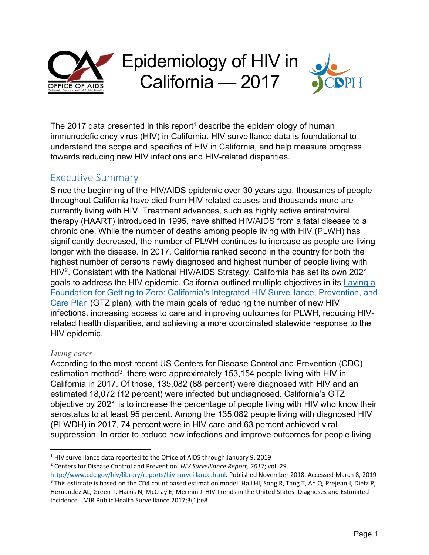

The 20[1](#page-0-0)7 data presented in this report<sup>1</sup> describe the epidemiology of human immunodeficiency virus (HIV) in California. HIV surveillance data is foundational to understand the scope and specifics of HIV in California, and help measure progress towards reducing new HIV infections and HIV-related disparities.

## Executive Summary

Since the beginning of the HIV/AIDS epidemic over 30 years ago, thousands of people throughout California have died from HIV related causes and thousands more are currently living with HIV. Treatment advances, such as highly active antiretroviral therapy (HAART) introduced in 1995, have shifted HIV/AIDS from a fatal disease to a chronic one. While the number of deaths among people living with HIV (PLWH) has significantly decreased, the number of PLWH continues to increase as people are living longer with the disease. In 2017, California ranked second in the country for both the highest number of persons newly diagnosed and highest number of people living with HIV<sup>[2](#page-0-1)</sup>. Consistent with the National HIV/AIDS Strategy, California has set its own 2021 goals to address the HIV epidemic. California outlined multiple objectives in its [Laying a](https://www.cdph.ca.gov/Programs/CID/DOA/CDPH%20Document%20Library/IP_2016_Final.pdf) Foundation for Getting to [Zero: California's Integrated HIV Surveillance, Prevention,](https://www.cdph.ca.gov/Programs/CID/DOA/CDPH%20Document%20Library/IP_2016_Final.pdf) and [Care Plan](https://www.cdph.ca.gov/Programs/CID/DOA/CDPH%20Document%20Library/IP_2016_Final.pdf) (GTZ plan), with the main goals of reducing the number of new HIV infections, increasing access to care and improving outcomes for PLWH, reducing HIVrelated health disparities, and achieving a more coordinated statewide response to the HIV epidemic.

#### *Living cases*

According to the most recent US Centers for Disease Control and Prevention (CDC) estimation method<sup>[3](#page-0-2)</sup>, there were approximately 153,154 people living with HIV in California in 2017. Of those, 135,082 (88 percent) were diagnosed with HIV and an estimated 18,072 (12 percent) were infected but undiagnosed. California's GTZ objective by 2021 is to increase the percentage of people living with HIV who know their serostatus to at least 95 percent. Among the 135,082 people living with diagnosed HIV (PLWDH) in 2017, 74 percent were in HIV care and 63 percent achieved viral suppression. In order to reduce new infections and improve outcomes for people living

<span id="page-0-0"></span><sup>&</sup>lt;sup>1</sup> HIV surveillance data reported to the Office of AIDS through January 9, 2019

<span id="page-0-1"></span><sup>2</sup> Centers for Disease Control and Prevention. *HIV Surveillance Report, 2017*; vol. 29.

<span id="page-0-2"></span>[http://www.cdc.gov/hiv/library/reports/hiv-surveillance.html.](http://www.cdc.gov/hiv/library/reports/hiv-surveillance.html) Published November 2018. Accessed March 8, 2019 <sup>3</sup> This estimate is based on the CD4 count based estimation model. Hall HI, Song R, Tang T, An Q, Prejean J, Dietz P, Hernandez AL, Green T, Harris N, McCray E, Mermin J HIV Trends in the United States: Diagnoses and Estimated Incidence JMIR Public Health Surveillance 2017;3(1):e8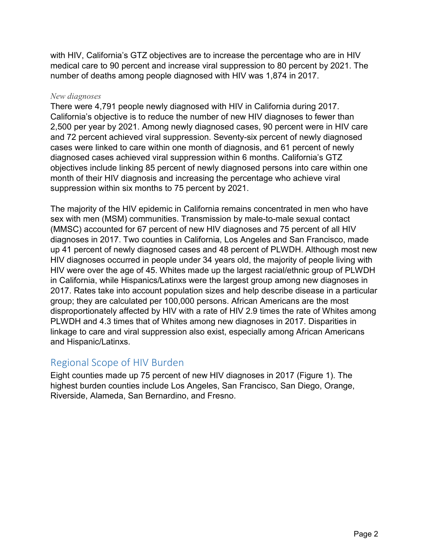with HIV, California's GTZ objectives are to increase the percentage who are in HIV medical care to 90 percent and increase viral suppression to 80 percent by 2021. The number of deaths among people diagnosed with HIV was 1,874 in 2017.

#### *New diagnoses*

There were 4,791 people newly diagnosed with HIV in California during 2017. California's objective is to reduce the number of new HIV diagnoses to fewer than 2,500 per year by 2021. Among newly diagnosed cases, 90 percent were in HIV care and 72 percent achieved viral suppression. Seventy-six percent of newly diagnosed cases were linked to care within one month of diagnosis, and 61 percent of newly diagnosed cases achieved viral suppression within 6 months. California's GTZ objectives include linking 85 percent of newly diagnosed persons into care within one month of their HIV diagnosis and increasing the percentage who achieve viral suppression within six months to 75 percent by 2021.

The majority of the HIV epidemic in California remains concentrated in men who have sex with men (MSM) communities. Transmission by male-to-male sexual contact (MMSC) accounted for 67 percent of new HIV diagnoses and 75 percent of all HIV diagnoses in 2017. Two counties in California, Los Angeles and San Francisco, made up 41 percent of newly diagnosed cases and 48 percent of PLWDH. Although most new HIV diagnoses occurred in people under 34 years old, the majority of people living with HIV were over the age of 45. Whites made up the largest racial/ethnic group of PLWDH in California, while Hispanics/Latinxs were the largest group among new diagnoses in 2017. Rates take into account population sizes and help describe disease in a particular group; they are calculated per 100,000 persons. African Americans are the most disproportionately affected by HIV with a rate of HIV 2.9 times the rate of Whites among PLWDH and 4.3 times that of Whites among new diagnoses in 2017. Disparities in linkage to care and viral suppression also exist, especially among African Americans and Hispanic/Latinxs.

## Regional Scope of HIV Burden

Eight counties made up 75 percent of new HIV diagnoses in 2017 (Figure 1). The highest burden counties include Los Angeles, San Francisco, San Diego, Orange, Riverside, Alameda, San Bernardino, and Fresno.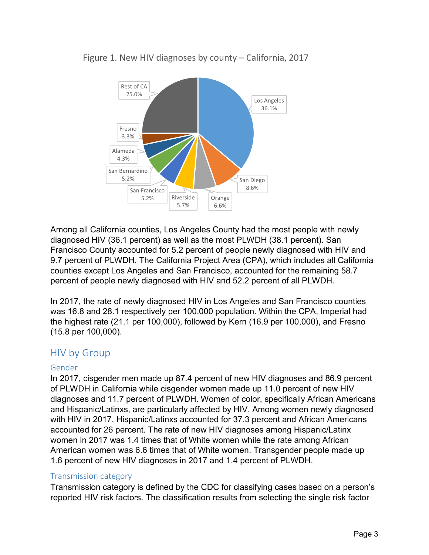

Figure 1. New HIV diagnoses by county – California, 2017

Among all California counties, Los Angeles County had the most people with newly diagnosed HIV (36.1 percent) as well as the most PLWDH (38.1 percent). San Francisco County accounted for 5.2 percent of people newly diagnosed with HIV and 9.7 percent of PLWDH. The California Project Area (CPA), which includes all California counties except Los Angeles and San Francisco, accounted for the remaining 58.7 percent of people newly diagnosed with HIV and 52.2 percent of all PLWDH.

In 2017, the rate of newly diagnosed HIV in Los Angeles and San Francisco counties was 16.8 and 28.1 respectively per 100,000 population. Within the CPA, Imperial had the highest rate (21.1 per 100,000), followed by Kern (16.9 per 100,000), and Fresno (15.8 per 100,000).

## HIV by Group

#### Gender

In 2017, cisgender men made up 87.4 percent of new HIV diagnoses and 86.9 percent of PLWDH in California while cisgender women made up 11.0 percent of new HIV diagnoses and 11.7 percent of PLWDH. Women of color, specifically African Americans and Hispanic/Latinxs, are particularly affected by HIV. Among women newly diagnosed with HIV in 2017, Hispanic/Latinxs accounted for 37.3 percent and African Americans accounted for 26 percent. The rate of new HIV diagnoses among Hispanic/Latinx women in 2017 was 1.4 times that of White women while the rate among African American women was 6.6 times that of White women. Transgender people made up 1.6 percent of new HIV diagnoses in 2017 and 1.4 percent of PLWDH.

#### Transmission category

Transmission category is defined by the CDC for classifying cases based on a person's reported HIV risk factors. The classification results from selecting the single risk factor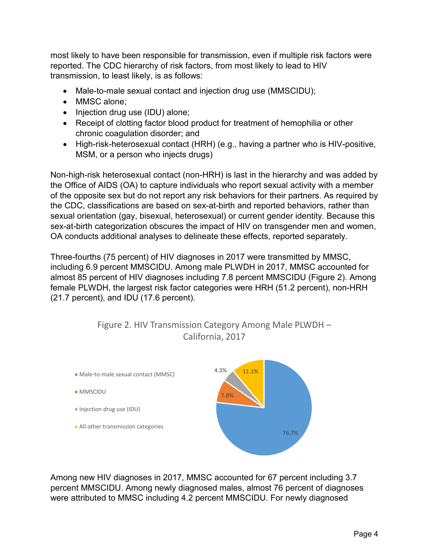most likely to have been responsible for transmission, even if multiple risk factors were reported. The CDC hierarchy of risk factors, from most likely to lead to HIV transmission, to least likely, is as follows:

- Male-to-male sexual contact and injection drug use (MMSCIDU);
- MMSC alone:
- Injection drug use (IDU) alone;
- Receipt of clotting factor blood product for treatment of hemophilia or other chronic coagulation disorder; and
- High-risk-heterosexual contact (HRH) (e.g., having a partner who is HIV-positive, MSM, or a person who injects drugs)

Non-high-risk heterosexual contact (non-HRH) is last in the hierarchy and was added by the Office of AIDS (OA) to capture individuals who report sexual activity with a member of the opposite sex but do not report any risk behaviors for their partners. As required by the CDC, classifications are based on sex-at-birth and reported behaviors, rather than sexual orientation (gay, bisexual, heterosexual) or current gender identity. Because this sex-at-birth categorization obscures the impact of HIV on transgender men and women, OA conducts additional analyses to delineate these effects, reported separately.

Three-fourths (75 percent) of HIV diagnoses in 2017 were transmitted by MMSC, including 6.9 percent MMSCIDU. Among male PLWDH in 2017, MMSC accounted for almost 85 percent of HIV diagnoses including 7.8 percent MMSCIDU (Figure 2). Among female PLWDH, the largest risk factor categories were HRH (51.2 percent), non-HRH (21.7 percent), and IDU (17.6 percent).



Figure 2. HIV Transmission Category Among Male PLWDH – California, 2017

Among new HIV diagnoses in 2017, MMSC accounted for 67 percent including 3.7 percent MMSCIDU. Among newly diagnosed males, almost 76 percent of diagnoses were attributed to MMSC including 4.2 percent MMSCIDU. For newly diagnosed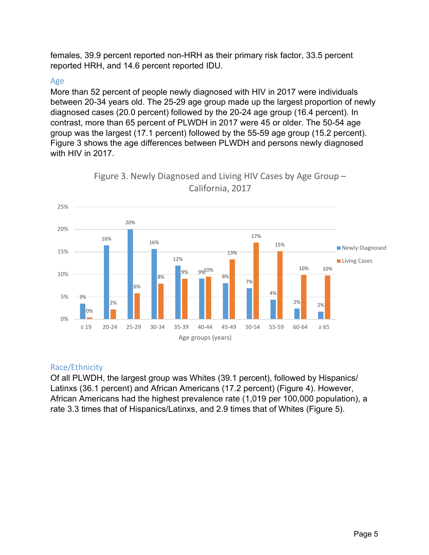females, 39.9 percent reported non-HRH as their primary risk factor, 33.5 percent reported HRH, and 14.6 percent reported IDU.

#### Age

More than 52 percent of people newly diagnosed with HIV in 2017 were individuals between 20-34 years old. The 25-29 age group made up the largest proportion of newly diagnosed cases (20.0 percent) followed by the 20-24 age group (16.4 percent). In contrast, more than 65 percent of PLWDH in 2017 were 45 or older. The 50-54 age group was the largest (17.1 percent) followed by the 55-59 age group (15.2 percent). Figure 3 shows the age differences between PLWDH and persons newly diagnosed with HIV in 2017.





## Race/Ethnicity

Of all PLWDH, the largest group was Whites (39.1 percent), followed by Hispanics/ Latinxs (36.1 percent) and African Americans (17.2 percent) (Figure 4). However, African Americans had the highest prevalence rate (1,019 per 100,000 population), a rate 3.3 times that of Hispanics/Latinxs, and 2.9 times that of Whites (Figure 5).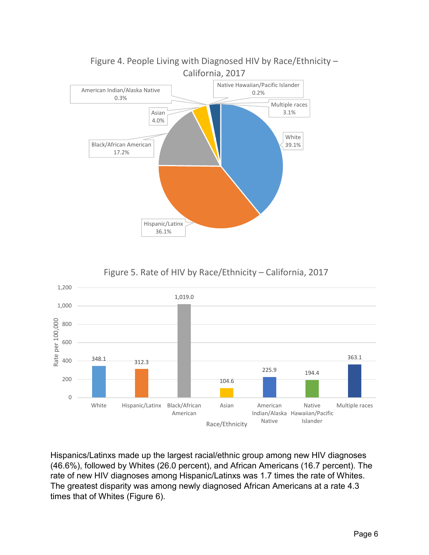

Figure 4. People Living with Diagnosed HIV by Race/Ethnicity –

Figure 5. Rate of HIV by Race/Ethnicity – California, 2017



Hispanics/Latinxs made up the largest racial/ethnic group among new HIV diagnoses (46.6%), followed by Whites (26.0 percent), and African Americans (16.7 percent). The rate of new HIV diagnoses among Hispanic/Latinxs was 1.7 times the rate of Whites. The greatest disparity was among newly diagnosed African Americans at a rate 4.3 times that of Whites (Figure 6).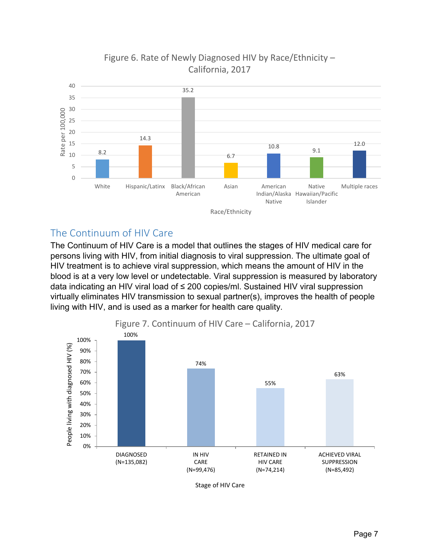

# Figure 6. Rate of Newly Diagnosed HIV by Race/Ethnicity – California, 2017

# The Continuum of HIV Care

The Continuum of HIV Care is a model that outlines the stages of HIV medical care for persons living with HIV, from initial diagnosis to viral suppression. The ultimate goal of HIV treatment is to achieve viral suppression, which means the amount of HIV in the blood is at a very low level or undetectable. Viral suppression is measured by laboratory data indicating an HIV viral load of ≤ 200 copies/ml. Sustained HIV viral suppression virtually eliminates HIV transmission to sexual partner(s), improves the health of people living with HIV, and is used as a marker for health care quality.

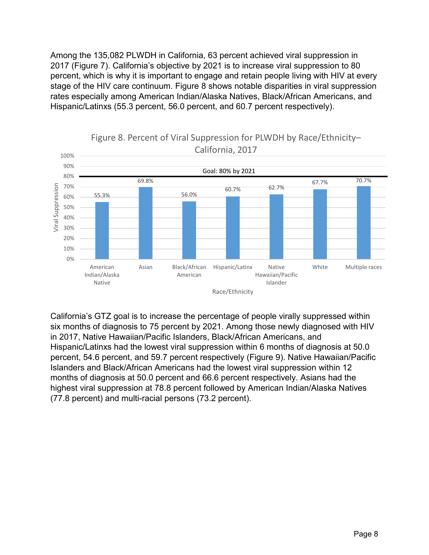Among the 135,082 PLWDH in California, 63 percent achieved viral suppression in 2017 (Figure 7). California's objective by 2021 is to increase viral suppression to 80 percent, which is why it is important to engage and retain people living with HIV at every stage of the HIV care continuum. Figure 8 shows notable disparities in viral suppression rates especially among American Indian/Alaska Natives, Black/African Americans, and Hispanic/Latinxs (55.3 percent, 56.0 percent, and 60.7 percent respectively).



# Figure 8. Percent of Viral Suppression for PLWDH by Race/Ethnicity–

California's GTZ goal is to increase the percentage of people virally suppressed within six months of diagnosis to 75 percent by 2021. Among those newly diagnosed with HIV in 2017, Native Hawaiian/Pacific Islanders, Black/African Americans, and Hispanic/Latinxs had the lowest viral suppression within 6 months of diagnosis at 50.0 percent, 54.6 percent, and 59.7 percent respectively (Figure 9). Native Hawaiian/Pacific Islanders and Black/African Americans had the lowest viral suppression within 12 months of diagnosis at 50.0 percent and 66.6 percent respectively. Asians had the highest viral suppression at 78.8 percent followed by American Indian/Alaska Natives (77.8 percent) and multi-racial persons (73.2 percent).